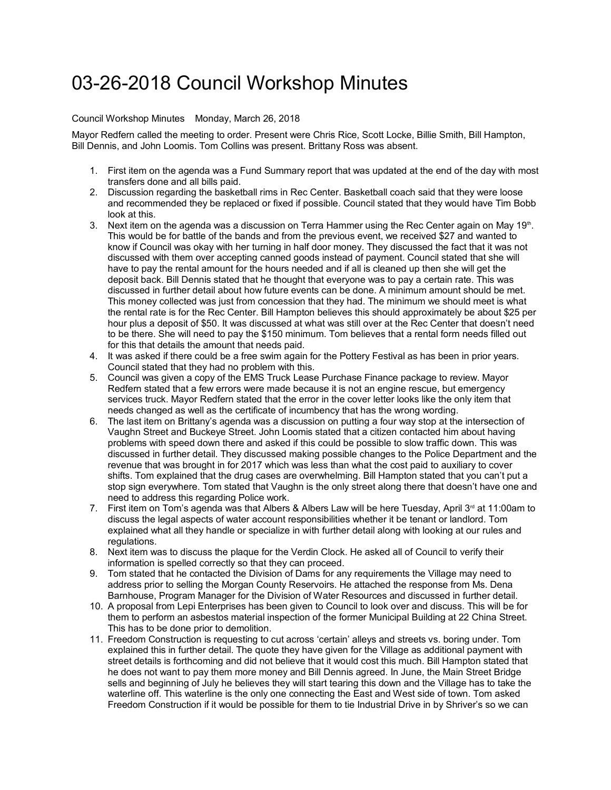## 03-26-2018 Council Workshop Minutes

## Council Workshop Minutes Monday, March 26, 2018

Mayor Redfern called the meeting to order. Present were Chris Rice, Scott Locke, Billie Smith, Bill Hampton, Bill Dennis, and John Loomis. Tom Collins was present. Brittany Ross was absent.

- 1. First item on the agenda was a Fund Summary report that was updated at the end of the day with most transfers done and all bills paid.
- 2. Discussion regarding the basketball rims in Rec Center. Basketball coach said that they were loose and recommended they be replaced or fixed if possible. Council stated that they would have Tim Bobb look at this.
- 3. Next item on the agenda was a discussion on Terra Hammer using the Rec Center again on May  $19<sup>th</sup>$ . This would be for battle of the bands and from the previous event, we received \$27 and wanted to know if Council was okay with her turning in half door money. They discussed the fact that it was not discussed with them over accepting canned goods instead of payment. Council stated that she will have to pay the rental amount for the hours needed and if all is cleaned up then she will get the deposit back. Bill Dennis stated that he thought that everyone was to pay a certain rate. This was discussed in further detail about how future events can be done. A minimum amount should be met. This money collected was just from concession that they had. The minimum we should meet is what the rental rate is for the Rec Center. Bill Hampton believes this should approximately be about \$25 per hour plus a deposit of \$50. It was discussed at what was still over at the Rec Center that doesn't need to be there. She will need to pay the \$150 minimum. Tom believes that a rental form needs filled out for this that details the amount that needs paid.
- 4. It was asked if there could be a free swim again for the Pottery Festival as has been in prior years. Council stated that they had no problem with this.
- 5. Council was given a copy of the EMS Truck Lease Purchase Finance package to review. Mayor Redfern stated that a few errors were made because it is not an engine rescue, but emergency services truck. Mayor Redfern stated that the error in the cover letter looks like the only item that needs changed as well as the certificate of incumbency that has the wrong wording.
- 6. The last item on Brittany's agenda was a discussion on putting a four way stop at the intersection of Vaughn Street and Buckeye Street. John Loomis stated that a citizen contacted him about having problems with speed down there and asked if this could be possible to slow traffic down. This was discussed in further detail. They discussed making possible changes to the Police Department and the revenue that was brought in for 2017 which was less than what the cost paid to auxiliary to cover shifts. Tom explained that the drug cases are overwhelming. Bill Hampton stated that you can't put a stop sign everywhere. Tom stated that Vaughn is the only street along there that doesn't have one and need to address this regarding Police work.
- 7. First item on Tom's agenda was that Albers & Albers Law will be here Tuesday, April 3<sup>rd</sup> at 11:00am to discuss the legal aspects of water account responsibilities whether it be tenant or landlord. Tom explained what all they handle or specialize in with further detail along with looking at our rules and regulations.
- 8. Next item was to discuss the plaque for the Verdin Clock. He asked all of Council to verify their information is spelled correctly so that they can proceed.
- 9. Tom stated that he contacted the Division of Dams for any requirements the Village may need to address prior to selling the Morgan County Reservoirs. He attached the response from Ms. Dena Barnhouse, Program Manager for the Division of Water Resources and discussed in further detail.
- 10. A proposal from Lepi Enterprises has been given to Council to look over and discuss. This will be for them to perform an asbestos material inspection of the former Municipal Building at 22 China Street. This has to be done prior to demolition.
- 11. Freedom Construction is requesting to cut across 'certain' alleys and streets vs. boring under. Tom explained this in further detail. The quote they have given for the Village as additional payment with street details is forthcoming and did not believe that it would cost this much. Bill Hampton stated that he does not want to pay them more money and Bill Dennis agreed. In June, the Main Street Bridge sells and beginning of July he believes they will start tearing this down and the Village has to take the waterline off. This waterline is the only one connecting the East and West side of town. Tom asked Freedom Construction if it would be possible for them to tie Industrial Drive in by Shriver's so we can